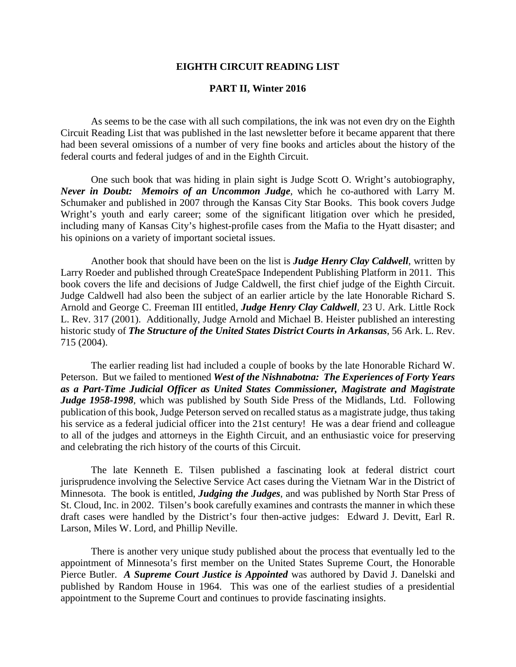## **EIGHTH CIRCUIT READING LIST**

## **PART II, Winter 2016**

As seems to be the case with all such compilations, the ink was not even dry on the Eighth Circuit Reading List that was published in the last newsletter before it became apparent that there had been several omissions of a number of very fine books and articles about the history of the federal courts and federal judges of and in the Eighth Circuit.

One such book that was hiding in plain sight is Judge Scott O. Wright's autobiography, *Never in Doubt: Memoirs of an Uncommon Judge*, which he co-authored with Larry M. Schumaker and published in 2007 through the Kansas City Star Books. This book covers Judge Wright's youth and early career; some of the significant litigation over which he presided, including many of Kansas City's highest-profile cases from the Mafia to the Hyatt disaster; and his opinions on a variety of important societal issues.

Another book that should have been on the list is *Judge Henry Clay Caldwell*, written by Larry Roeder and published through CreateSpace Independent Publishing Platform in 2011. This book covers the life and decisions of Judge Caldwell, the first chief judge of the Eighth Circuit. Judge Caldwell had also been the subject of an earlier article by the late Honorable Richard S. Arnold and George C. Freeman III entitled, *Judge Henry Clay Caldwell*, 23 U. Ark. Little Rock L. Rev. 317 (2001). Additionally, Judge Arnold and Michael B. Heister published an interesting historic study of *The Structure of the United States District Courts in Arkansas*, 56 Ark. L. Rev. 715 (2004).

The earlier reading list had included a couple of books by the late Honorable Richard W. Peterson. But we failed to mentioned *West of the Nishnabotna: The Experiences of Forty Years as a Part-Time Judicial Officer as United States Commissioner, Magistrate and Magistrate Judge 1958-1998*, which was published by South Side Press of the Midlands, Ltd. Following publication of this book, Judge Peterson served on recalled status as a magistrate judge, thus taking his service as a federal judicial officer into the 21st century! He was a dear friend and colleague to all of the judges and attorneys in the Eighth Circuit, and an enthusiastic voice for preserving and celebrating the rich history of the courts of this Circuit.

The late Kenneth E. Tilsen published a fascinating look at federal district court jurisprudence involving the Selective Service Act cases during the Vietnam War in the District of Minnesota. The book is entitled, *Judging the Judges*, and was published by North Star Press of St. Cloud, Inc. in 2002. Tilsen's book carefully examines and contrasts the manner in which these draft cases were handled by the District's four then-active judges: Edward J. Devitt, Earl R. Larson, Miles W. Lord, and Phillip Neville.

There is another very unique study published about the process that eventually led to the appointment of Minnesota's first member on the United States Supreme Court, the Honorable Pierce Butler. *A Supreme Court Justice is Appointed* was authored by David J. Danelski and published by Random House in 1964. This was one of the earliest studies of a presidential appointment to the Supreme Court and continues to provide fascinating insights.